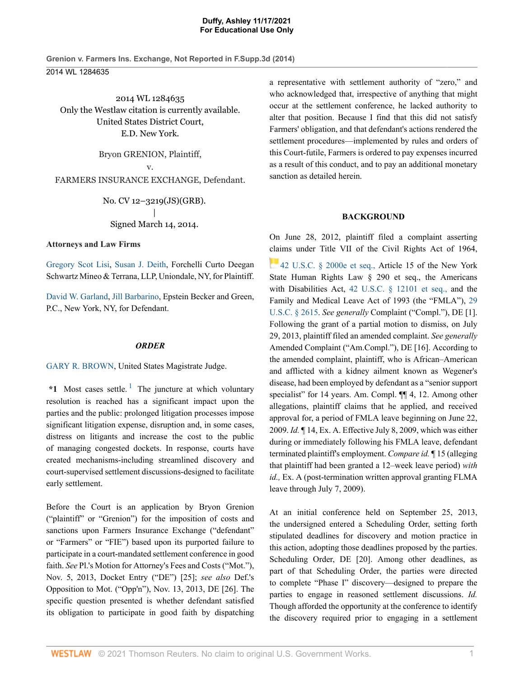2014 WL 1284635 Only the Westlaw citation is currently available. United States District Court, E.D. New York.

Bryon GRENION, Plaintiff,

v. FARMERS INSURANCE EXCHANGE, Defendant.

> No. CV 12–3219(JS)(GRB). | Signed March 14, 2014.

**Attorneys and Law Firms**

Gregory Scot Lisi, Susan J. Deith, Forchelli Curto Deegan Schwartz Mineo & Terrana, LLP, Uniondale, NY, for Plaintiff.

David W. Garland, Jill Barbarino, Epstein Becker and Green, P.C., New York, NY, for Defendant.

## *ORDER*

GARY R. BROWN, United States Magistrate Judge.

 $*1$  Most cases settle.<sup>1</sup> The juncture at which voluntary resolution is reached has a significant impact upon the parties and the public: prolonged litigation processes impose significant litigation expense, disruption and, in some cases, distress on litigants and increase the cost to the public of managing congested dockets. In response, courts have created mechanisms-including streamlined discovery and court-supervised settlement discussions-designed to facilitate early settlement.

Before the Court is an application by Bryon Grenion ("plaintiff" or "Grenion") for the imposition of costs and sanctions upon Farmers Insurance Exchange ("defendant" or "Farmers" or "FIE") based upon its purported failure to participate in a court-mandated settlement conference in good faith. *See* Pl.'s Motion for Attorney's Fees and Costs ("Mot."), Nov. 5, 2013, Docket Entry ("DE") [25]; *see also* Def.'s Opposition to Mot. ("Opp'n"), Nov. 13, 2013, DE [26]. The specific question presented is whether defendant satisfied its obligation to participate in good faith by dispatching a representative with settlement authority of "zero," and who acknowledged that, irrespective of anything that might occur at the settlement conference, he lacked authority to alter that position. Because I find that this did not satisfy Farmers' obligation, and that defendant's actions rendered the settlement procedures—implemented by rules and orders of this Court-futile, Farmers is ordered to pay expenses incurred as a result of this conduct, and to pay an additional monetary sanction as detailed herein.

# **BACKGROUND**

On June 28, 2012, plaintiff filed a complaint asserting claims under Title VII of the Civil Rights Act of 1964, 42 U.S.C. § 2000e et seq., Article 15 of the New York State Human Rights Law § 290 et seq., the Americans with Disabilities Act, 42 U.S.C. § 12101 et seq., and the Family and Medical Leave Act of 1993 (the "FMLA"), 29 U.S.C. § 2615. *See generally* Complaint ("Compl."), DE [1]. Following the grant of a partial motion to dismiss, on July 29, 2013, plaintiff filed an amended complaint. *See generally* Amended Complaint ("Am.Compl."), DE [16]. According to the amended complaint, plaintiff, who is African–American and afflicted with a kidney ailment known as Wegener's disease, had been employed by defendant as a "senior support specialist" for 14 years. Am. Compl.  $\P$  4, 12. Among other allegations, plaintiff claims that he applied, and received approval for, a period of FMLA leave beginning on June 22, 2009. *Id.* ¶ 14, Ex. A. Effective July 8, 2009, which was either during or immediately following his FMLA leave, defendant terminated plaintiff's employment. *Compare id.* ¶ 15 (alleging that plaintiff had been granted a 12–week leave period) *with id.,* Ex. A (post-termination written approval granting FLMA leave through July 7, 2009).

At an initial conference held on September 25, 2013, the undersigned entered a Scheduling Order, setting forth stipulated deadlines for discovery and motion practice in this action, adopting those deadlines proposed by the parties. Scheduling Order, DE [20]. Among other deadlines, as part of that Scheduling Order, the parties were directed to complete "Phase I" discovery—designed to prepare the parties to engage in reasoned settlement discussions. *Id.* Though afforded the opportunity at the conference to identify the discovery required prior to engaging in a settlement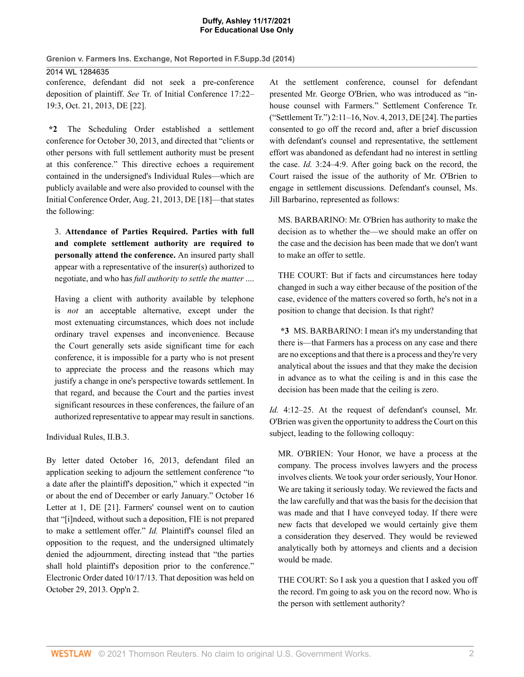#### **Duffy, Ashley 11/17/2021 For Educational Use Only**

**Grenion v. Farmers Ins. Exchange, Not Reported in F.Supp.3d (2014)** 2014 WL 1284635

conference, defendant did not seek a pre-conference deposition of plaintiff. *See* Tr. of Initial Conference 17:22– 19:3, Oct. 21, 2013, DE [22].

**\*2** The Scheduling Order established a settlement conference for October 30, 2013, and directed that "clients or other persons with full settlement authority must be present at this conference." This directive echoes a requirement contained in the undersigned's Individual Rules—which are publicly available and were also provided to counsel with the Initial Conference Order, Aug. 21, 2013, DE [18]—that states the following:

3. **Attendance of Parties Required. Parties with full and complete settlement authority are required to personally attend the conference.** An insured party shall appear with a representative of the insurer(s) authorized to negotiate, and who has *full authority to settle the matter* ....

Having a client with authority available by telephone is *not* an acceptable alternative, except under the most extenuating circumstances, which does not include ordinary travel expenses and inconvenience. Because the Court generally sets aside significant time for each conference, it is impossible for a party who is not present to appreciate the process and the reasons which may justify a change in one's perspective towards settlement. In that regard, and because the Court and the parties invest significant resources in these conferences, the failure of an authorized representative to appear may result in sanctions.

Individual Rules, II.B.3.

By letter dated October 16, 2013, defendant filed an application seeking to adjourn the settlement conference "to a date after the plaintiff's deposition," which it expected "in or about the end of December or early January." October 16 Letter at 1, DE [21]. Farmers' counsel went on to caution that "[i]ndeed, without such a deposition, FIE is not prepared to make a settlement offer." *Id.* Plaintiff's counsel filed an opposition to the request, and the undersigned ultimately denied the adjournment, directing instead that "the parties shall hold plaintiff's deposition prior to the conference." Electronic Order dated 10/17/13. That deposition was held on October 29, 2013. Opp'n 2.

At the settlement conference, counsel for defendant presented Mr. George O'Brien, who was introduced as "inhouse counsel with Farmers." Settlement Conference Tr. ("Settlement Tr.") 2:11–16, Nov. 4, 2013, DE [24]. The parties consented to go off the record and, after a brief discussion with defendant's counsel and representative, the settlement effort was abandoned as defendant had no interest in settling the case. *Id.* 3:24–4:9. After going back on the record, the Court raised the issue of the authority of Mr. O'Brien to engage in settlement discussions. Defendant's counsel, Ms. Jill Barbarino, represented as follows:

MS. BARBARINO: Mr. O'Brien has authority to make the decision as to whether the—we should make an offer on the case and the decision has been made that we don't want to make an offer to settle.

THE COURT: But if facts and circumstances here today changed in such a way either because of the position of the case, evidence of the matters covered so forth, he's not in a position to change that decision. Is that right?

**\*3** MS. BARBARINO: I mean it's my understanding that there is—that Farmers has a process on any case and there are no exceptions and that there is a process and they're very analytical about the issues and that they make the decision in advance as to what the ceiling is and in this case the decision has been made that the ceiling is zero.

*Id.* 4:12–25. At the request of defendant's counsel, Mr. O'Brien was given the opportunity to address the Court on this subject, leading to the following colloquy:

MR. O'BRIEN: Your Honor, we have a process at the company. The process involves lawyers and the process involves clients. We took your order seriously, Your Honor. We are taking it seriously today. We reviewed the facts and the law carefully and that was the basis for the decision that was made and that I have conveyed today. If there were new facts that developed we would certainly give them a consideration they deserved. They would be reviewed analytically both by attorneys and clients and a decision would be made.

THE COURT: So I ask you a question that I asked you off the record. I'm going to ask you on the record now. Who is the person with settlement authority?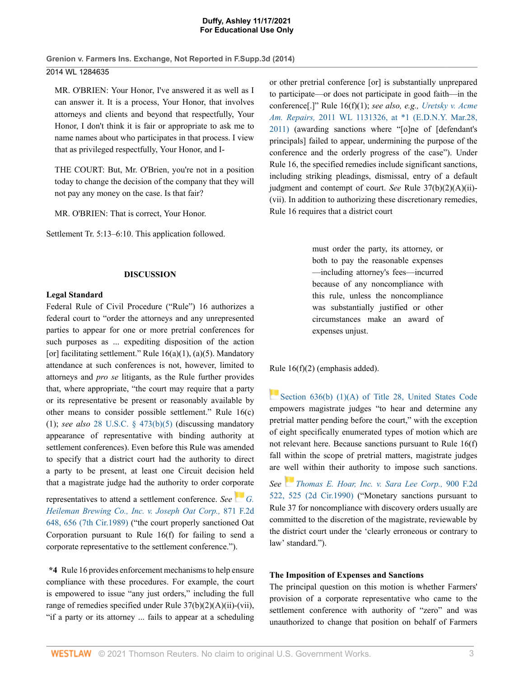#### **Duffy, Ashley 11/17/2021 For Educational Use Only**

**Grenion v. Farmers Ins. Exchange, Not Reported in F.Supp.3d (2014)** 2014 WL 1284635

MR. O'BRIEN: Your Honor, I've answered it as well as I can answer it. It is a process, Your Honor, that involves attorneys and clients and beyond that respectfully, Your Honor, I don't think it is fair or appropriate to ask me to name names about who participates in that process. I view that as privileged respectfully, Your Honor, and I-

THE COURT: But, Mr. O'Brien, you're not in a position today to change the decision of the company that they will not pay any money on the case. Is that fair?

MR. O'BRIEN: That is correct, Your Honor.

Settlement Tr. 5:13–6:10. This application followed.

#### **DISCUSSION**

#### **Legal Standard**

Federal Rule of Civil Procedure ("Rule") 16 authorizes a federal court to "order the attorneys and any unrepresented parties to appear for one or more pretrial conferences for such purposes as ... expediting disposition of the action [or] facilitating settlement." Rule  $16(a)(1)$ ,  $(a)(5)$ . Mandatory attendance at such conferences is not, however, limited to attorneys and *pro se* litigants, as the Rule further provides that, where appropriate, "the court may require that a party or its representative be present or reasonably available by other means to consider possible settlement." Rule 16(c) (1); *see also* 28 U.S.C. § 473(b)(5) (discussing mandatory appearance of representative with binding authority at settlement conferences). Even before this Rule was amended to specify that a district court had the authority to direct a party to be present, at least one Circuit decision held that a magistrate judge had the authority to order corporate

representatives to attend a settlement conference. *See G. Heileman Brewing Co., Inc. v. Joseph Oat Corp.,* 871 F.2d 648, 656 (7th Cir.1989) ("the court properly sanctioned Oat Corporation pursuant to Rule 16(f) for failing to send a corporate representative to the settlement conference.").

**\*4** Rule 16 provides enforcement mechanisms to help ensure compliance with these procedures. For example, the court is empowered to issue "any just orders," including the full range of remedies specified under Rule 37(b)(2)(A)(ii)-(vii), "if a party or its attorney ... fails to appear at a scheduling

or other pretrial conference [or] is substantially unprepared to participate—or does not participate in good faith—in the conference[.]" Rule 16(f)(1); *see also, e.g., Uretsky v. Acme Am. Repairs,* 2011 WL 1131326, at \*1 (E.D.N.Y. Mar.28, 2011) (awarding sanctions where "[o]ne of [defendant's principals] failed to appear, undermining the purpose of the conference and the orderly progress of the case"). Under Rule 16, the specified remedies include significant sanctions, including striking pleadings, dismissal, entry of a default judgment and contempt of court. *See* Rule 37(b)(2)(A)(ii)- (vii). In addition to authorizing these discretionary remedies, Rule 16 requires that a district court

> must order the party, its attorney, or both to pay the reasonable expenses —including attorney's fees—incurred because of any noncompliance with this rule, unless the noncompliance was substantially justified or other circumstances make an award of expenses unjust.

Rule 16(f)(2) (emphasis added).

Section 636(b) (1)(A) of Title 28, United States Code empowers magistrate judges "to hear and determine any pretrial matter pending before the court," with the exception of eight specifically enumerated types of motion which are not relevant here. Because sanctions pursuant to Rule 16(f) fall within the scope of pretrial matters, magistrate judges are well within their authority to impose such sanctions.

*See Thomas E. Hoar, Inc. v. Sara Lee Corp.,* 900 F.2d 522, 525 (2d Cir.1990) ("Monetary sanctions pursuant to Rule 37 for noncompliance with discovery orders usually are committed to the discretion of the magistrate, reviewable by the district court under the 'clearly erroneous or contrary to law' standard.").

#### **The Imposition of Expenses and Sanctions**

The principal question on this motion is whether Farmers' provision of a corporate representative who came to the settlement conference with authority of "zero" and was unauthorized to change that position on behalf of Farmers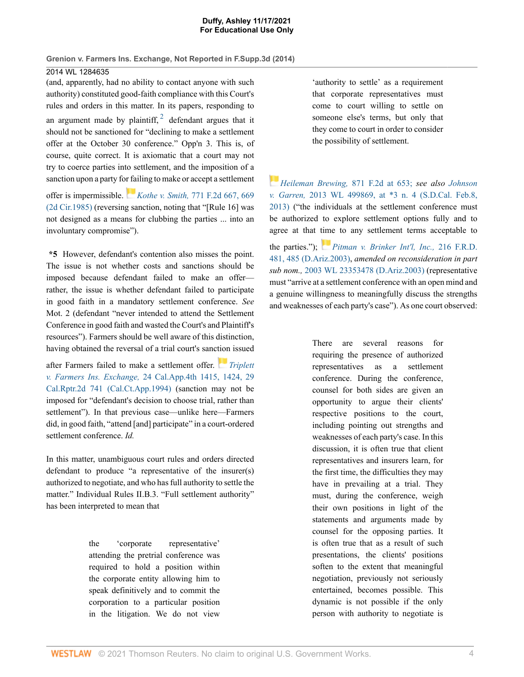(and, apparently, had no ability to contact anyone with such authority) constituted good-faith compliance with this Court's rules and orders in this matter. In its papers, responding to an argument made by plaintiff,  $2$  defendant argues that it should not be sanctioned for "declining to make a settlement offer at the October 30 conference." Opp'n 3. This is, of course, quite correct. It is axiomatic that a court may not try to coerce parties into settlement, and the imposition of a sanction upon a party for failing to make or accept a settlement

offer is impermissible. *Kothe v. Smith,* 771 F.2d 667, 669 (2d Cir.1985) (reversing sanction, noting that "[Rule 16] was not designed as a means for clubbing the parties ... into an involuntary compromise").

**\*5** However, defendant's contention also misses the point. The issue is not whether costs and sanctions should be imposed because defendant failed to make an offer rather, the issue is whether defendant failed to participate in good faith in a mandatory settlement conference. *See* Mot. 2 (defendant "never intended to attend the Settlement Conference in good faith and wasted the Court's and Plaintiff's resources"). Farmers should be well aware of this distinction, having obtained the reversal of a trial court's sanction issued

after Farmers failed to make a settlement offer. *Triplett v. Farmers Ins. Exchange,* 24 Cal.App.4th 1415, 1424, 29 Cal.Rptr.2d 741 (Cal.Ct.App.1994) (sanction may not be imposed for "defendant's decision to choose trial, rather than settlement"). In that previous case—unlike here—Farmers did, in good faith, "attend [and] participate" in a court-ordered settlement conference. *Id.*

In this matter, unambiguous court rules and orders directed defendant to produce "a representative of the insurer(s) authorized to negotiate, and who has full authority to settle the matter." Individual Rules II.B.3. "Full settlement authority" has been interpreted to mean that

> the 'corporate representative' attending the pretrial conference was required to hold a position within the corporate entity allowing him to speak definitively and to commit the corporation to a particular position in the litigation. We do not view

'authority to settle' as a requirement that corporate representatives must come to court willing to settle on someone else's terms, but only that they come to court in order to consider the possibility of settlement.

*Heileman Brewing,* 871 F.2d at 653; *see also Johnson v. Garren,* 2013 WL 499869, at \*3 n. 4 (S.D.Cal. Feb.8, 2013) ("the individuals at the settlement conference must be authorized to explore settlement options fully and to agree at that time to any settlement terms acceptable to

the parties."); *Pitman v. Brinker Int'l, Inc.,* 216 F.R.D. 481, 485 (D.Ariz.2003), *amended on reconsideration in part sub nom.,* 2003 WL 23353478 (D.Ariz.2003) (representative must "arrive at a settlement conference with an open mind and a genuine willingness to meaningfully discuss the strengths and weaknesses of each party's case"). As one court observed:

> There are several reasons for requiring the presence of authorized representatives as a settlement conference. During the conference, counsel for both sides are given an opportunity to argue their clients' respective positions to the court, including pointing out strengths and weaknesses of each party's case. In this discussion, it is often true that client representatives and insurers learn, for the first time, the difficulties they may have in prevailing at a trial. They must, during the conference, weigh their own positions in light of the statements and arguments made by counsel for the opposing parties. It is often true that as a result of such presentations, the clients' positions soften to the extent that meaningful negotiation, previously not seriously entertained, becomes possible. This dynamic is not possible if the only person with authority to negotiate is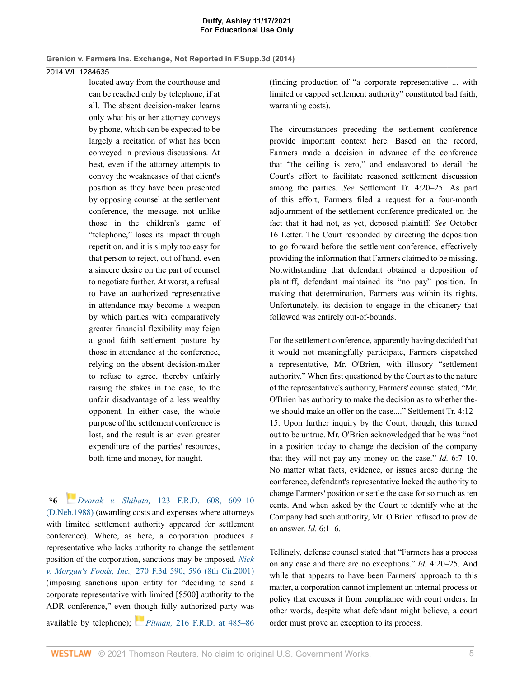# 2014 WL 1284635

located away from the courthouse and can be reached only by telephone, if at all. The absent decision-maker learns only what his or her attorney conveys by phone, which can be expected to be largely a recitation of what has been conveyed in previous discussions. At best, even if the attorney attempts to convey the weaknesses of that client's position as they have been presented by opposing counsel at the settlement conference, the message, not unlike those in the children's game of "telephone," loses its impact through repetition, and it is simply too easy for that person to reject, out of hand, even a sincere desire on the part of counsel to negotiate further. At worst, a refusal to have an authorized representative in attendance may become a weapon by which parties with comparatively greater financial flexibility may feign a good faith settlement posture by those in attendance at the conference, relying on the absent decision-maker to refuse to agree, thereby unfairly raising the stakes in the case, to the unfair disadvantage of a less wealthy opponent. In either case, the whole purpose of the settlement conference is lost, and the result is an even greater expenditure of the parties' resources, both time and money, for naught.

**\*6** *Dvorak v. Shibata,* 123 F.R.D. 608, 609–10 (D.Neb.1988) (awarding costs and expenses where attorneys with limited settlement authority appeared for settlement conference). Where, as here, a corporation produces a representative who lacks authority to change the settlement position of the corporation, sanctions may be imposed. *Nick v. Morgan's Foods, Inc.,* 270 F.3d 590, 596 (8th Cir.2001) (imposing sanctions upon entity for "deciding to send a corporate representative with limited [\$500] authority to the ADR conference," even though fully authorized party was available by telephone); *Pitman,* 216 F.R.D. at 485–86

(finding production of "a corporate representative ... with limited or capped settlement authority" constituted bad faith, warranting costs).

The circumstances preceding the settlement conference provide important context here. Based on the record, Farmers made a decision in advance of the conference that "the ceiling is zero," and endeavored to derail the Court's effort to facilitate reasoned settlement discussion among the parties. *See* Settlement Tr. 4:20–25. As part of this effort, Farmers filed a request for a four-month adjournment of the settlement conference predicated on the fact that it had not, as yet, deposed plaintiff. *See* October 16 Letter. The Court responded by directing the deposition to go forward before the settlement conference, effectively providing the information that Farmers claimed to be missing. Notwithstanding that defendant obtained a deposition of plaintiff, defendant maintained its "no pay" position. In making that determination, Farmers was within its rights. Unfortunately, its decision to engage in the chicanery that followed was entirely out-of-bounds.

For the settlement conference, apparently having decided that it would not meaningfully participate, Farmers dispatched a representative, Mr. O'Brien, with illusory "settlement authority." When first questioned by the Court as to the nature of the representative's authority, Farmers' counsel stated, "Mr. O'Brien has authority to make the decision as to whether thewe should make an offer on the case...." Settlement Tr. 4:12– 15. Upon further inquiry by the Court, though, this turned out to be untrue. Mr. O'Brien acknowledged that he was "not in a position today to change the decision of the company that they will not pay any money on the case." *Id.* 6:7–10. No matter what facts, evidence, or issues arose during the conference, defendant's representative lacked the authority to change Farmers' position or settle the case for so much as ten cents. And when asked by the Court to identify who at the Company had such authority, Mr. O'Brien refused to provide an answer. *Id.* 6:1–6.

Tellingly, defense counsel stated that "Farmers has a process on any case and there are no exceptions." *Id.* 4:20–25. And while that appears to have been Farmers' approach to this matter, a corporation cannot implement an internal process or policy that excuses it from compliance with court orders. In other words, despite what defendant might believe, a court order must prove an exception to its process.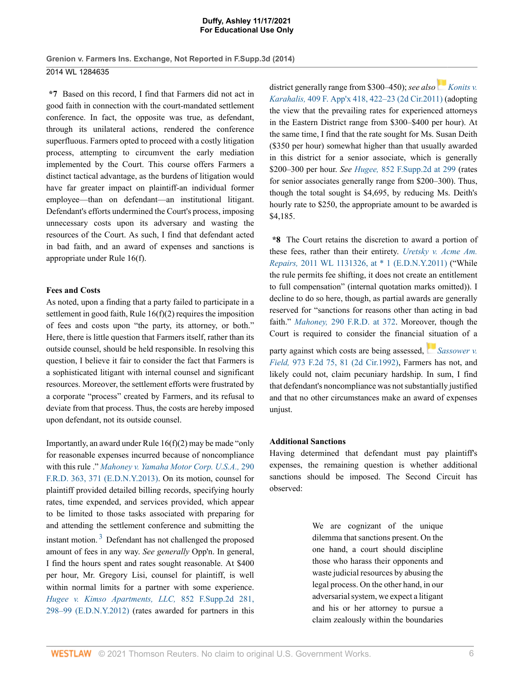**\*7** Based on this record, I find that Farmers did not act in good faith in connection with the court-mandated settlement conference. In fact, the opposite was true, as defendant, through its unilateral actions, rendered the conference superfluous. Farmers opted to proceed with a costly litigation process, attempting to circumvent the early mediation implemented by the Court. This course offers Farmers a distinct tactical advantage, as the burdens of litigation would have far greater impact on plaintiff-an individual former employee—than on defendant—an institutional litigant. Defendant's efforts undermined the Court's process, imposing unnecessary costs upon its adversary and wasting the resources of the Court. As such, I find that defendant acted in bad faith, and an award of expenses and sanctions is appropriate under Rule 16(f).

## **Fees and Costs**

As noted, upon a finding that a party failed to participate in a settlement in good faith, Rule 16(f)(2) requires the imposition of fees and costs upon "the party, its attorney, or both." Here, there is little question that Farmers itself, rather than its outside counsel, should be held responsible. In resolving this question, I believe it fair to consider the fact that Farmers is a sophisticated litigant with internal counsel and significant resources. Moreover, the settlement efforts were frustrated by a corporate "process" created by Farmers, and its refusal to deviate from that process. Thus, the costs are hereby imposed upon defendant, not its outside counsel.

Importantly, an award under Rule 16(f)(2) may be made "only for reasonable expenses incurred because of noncompliance with this rule ." *Mahoney v. Yamaha Motor Corp. U.S.A.,* 290 F.R.D. 363, 371 (E.D.N.Y.2013). On its motion, counsel for plaintiff provided detailed billing records, specifying hourly rates, time expended, and services provided, which appear to be limited to those tasks associated with preparing for and attending the settlement conference and submitting the instant motion.<sup>3</sup> Defendant has not challenged the proposed amount of fees in any way. *See generally* Opp'n. In general, I find the hours spent and rates sought reasonable. At \$400 per hour, Mr. Gregory Lisi, counsel for plaintiff, is well within normal limits for a partner with some experience. *Hugee v. Kimso Apartments, LLC,* 852 F.Supp.2d 281, 298–99 (E.D.N.Y.2012) (rates awarded for partners in this district generally range from \$300–450); *see also* Konits *v. Karahalis,* 409 F. App'x 418, 422–23 (2d Cir.2011) (adopting the view that the prevailing rates for experienced attorneys in the Eastern District range from \$300–\$400 per hour). At the same time, I find that the rate sought for Ms. Susan Deith (\$350 per hour) somewhat higher than that usually awarded in this district for a senior associate, which is generally \$200–300 per hour. *See Hugee,* 852 F.Supp.2d at 299 (rates for senior associates generally range from \$200–300). Thus, though the total sought is \$4,695, by reducing Ms. Deith's hourly rate to \$250, the appropriate amount to be awarded is \$4,185.

**\*8** The Court retains the discretion to award a portion of these fees, rather than their entirety. *Uretsky v. Acme Am. Repairs,* 2011 WL 1131326, at \* 1 (E.D.N.Y.2011) ("While the rule permits fee shifting, it does not create an entitlement to full compensation" (internal quotation marks omitted)). I decline to do so here, though, as partial awards are generally reserved for "sanctions for reasons other than acting in bad faith." *Mahoney,* 290 F.R.D. at 372. Moreover, though the Court is required to consider the financial situation of a

party against which costs are being assessed, *Sassower v. Field,* 973 F.2d 75, 81 (2d Cir.1992), Farmers has not, and likely could not, claim pecuniary hardship. In sum, I find that defendant's noncompliance was not substantially justified and that no other circumstances make an award of expenses unjust.

# **Additional Sanctions**

Having determined that defendant must pay plaintiff's expenses, the remaining question is whether additional sanctions should be imposed. The Second Circuit has observed:

> We are cognizant of the unique dilemma that sanctions present. On the one hand, a court should discipline those who harass their opponents and waste judicial resources by abusing the legal process. On the other hand, in our adversarial system, we expect a litigant and his or her attorney to pursue a claim zealously within the boundaries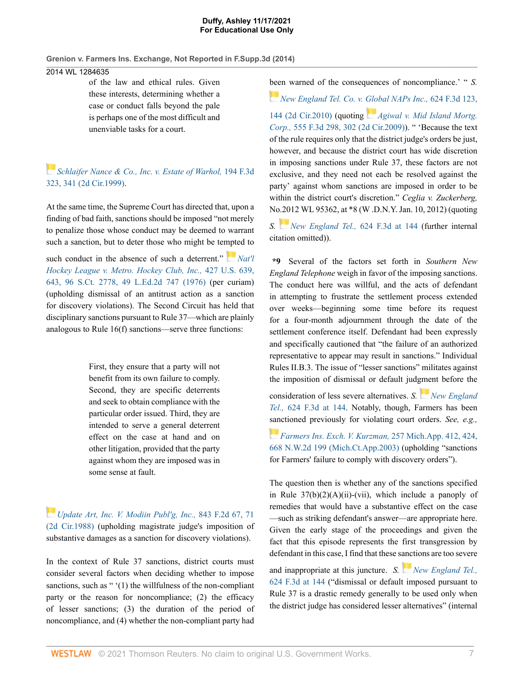# 2014 WL 1284635

of the law and ethical rules. Given these interests, determining whether a case or conduct falls beyond the pale is perhaps one of the most difficult and unenviable tasks for a court.

*Schlaifer Nance & Co., Inc. v. Estate of Warhol,* 194 F.3d 323, 341 (2d Cir.1999).

At the same time, the Supreme Court has directed that, upon a finding of bad faith, sanctions should be imposed "not merely to penalize those whose conduct may be deemed to warrant such a sanction, but to deter those who might be tempted to

such conduct in the absence of such a deterrent." **Nat'll** *Hockey League v. Metro. Hockey Club, Inc.,* 427 U.S. 639, 643, 96 S.Ct. 2778, 49 L.Ed.2d 747 (1976) (per curiam) (upholding dismissal of an antitrust action as a sanction for discovery violations). The Second Circuit has held that disciplinary sanctions pursuant to Rule 37—which are plainly analogous to Rule 16(f) sanctions—serve three functions:

> First, they ensure that a party will not benefit from its own failure to comply. Second, they are specific deterrents and seek to obtain compliance with the particular order issued. Third, they are intended to serve a general deterrent effect on the case at hand and on other litigation, provided that the party against whom they are imposed was in some sense at fault.

*Update Art, Inc. V. Modiin Publ'g, Inc.,* 843 F.2d 67, 71 (2d Cir.1988) (upholding magistrate judge's imposition of substantive damages as a sanction for discovery violations).

In the context of Rule 37 sanctions, district courts must consider several factors when deciding whether to impose sanctions, such as " '(1) the willfulness of the non-compliant party or the reason for noncompliance; (2) the efficacy of lesser sanctions; (3) the duration of the period of noncompliance, and (4) whether the non-compliant party had been warned of the consequences of noncompliance.' " *S.*

*New England Tel. Co. v. Global NAPs Inc.,* 624 F.3d 123,

144 (2d Cir.2010) (quoting *Agiwal v. Mid Island Mortg. Corp.,* 555 F.3d 298, 302 (2d Cir.2009)). " 'Because the text of the rule requires only that the district judge's orders be just, however, and because the district court has wide discretion in imposing sanctions under Rule 37, these factors are not exclusive, and they need not each be resolved against the party' against whom sanctions are imposed in order to be within the district court's discretion." *Ceglia v. Zuckerberg,* No.2012 WL 95362, at \*8 (W .D.N.Y. Jan. 10, 2012) (quoting

*S. New England Tel.,* 624 F.3d at 144 (further internal citation omitted)).

**\*9** Several of the factors set forth in *Southern New England Telephone* weigh in favor of the imposing sanctions. The conduct here was willful, and the acts of defendant in attempting to frustrate the settlement process extended over weeks—beginning some time before its request for a four-month adjournment through the date of the settlement conference itself. Defendant had been expressly and specifically cautioned that "the failure of an authorized representative to appear may result in sanctions." Individual Rules II.B.3. The issue of "lesser sanctions" militates against the imposition of dismissal or default judgment before the

consideration of less severe alternatives. *S. New England Tel.,* 624 F.3d at 144. Notably, though, Farmers has been sanctioned previously for violating court orders. *See, e.g.,*

*Farmers Ins. Exch. V. Kurzman,* 257 Mich.App. 412, 424, 668 N.W.2d 199 (Mich.Ct.App.2003) (upholding "sanctions for Farmers' failure to comply with discovery orders").

The question then is whether any of the sanctions specified in Rule  $37(b)(2)(A)(ii)$ -(vii), which include a panoply of remedies that would have a substantive effect on the case —such as striking defendant's answer—are appropriate here. Given the early stage of the proceedings and given the fact that this episode represents the first transgression by defendant in this case, I find that these sanctions are too severe

and inappropriate at this juncture. *S. New England Tel.*, 624 F.3d at 144 ("dismissal or default imposed pursuant to Rule 37 is a drastic remedy generally to be used only when the district judge has considered lesser alternatives" (internal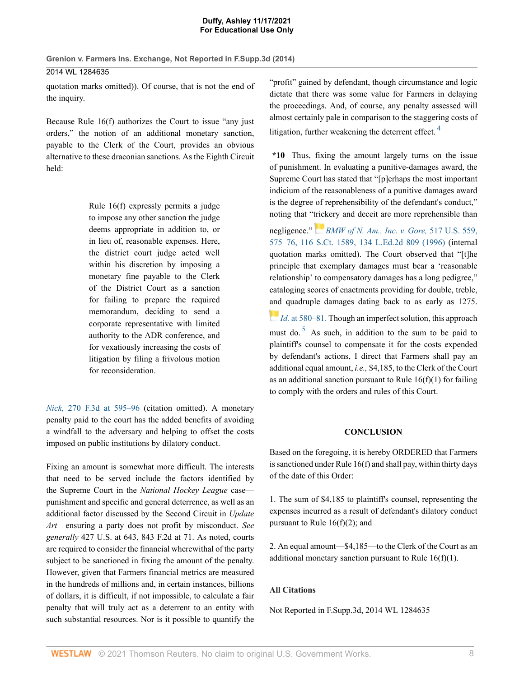quotation marks omitted)). Of course, that is not the end of the inquiry.

Because Rule 16(f) authorizes the Court to issue "any just orders," the notion of an additional monetary sanction, payable to the Clerk of the Court, provides an obvious alternative to these draconian sanctions. As the Eighth Circuit held:

> Rule 16(f) expressly permits a judge to impose any other sanction the judge deems appropriate in addition to, or in lieu of, reasonable expenses. Here, the district court judge acted well within his discretion by imposing a monetary fine payable to the Clerk of the District Court as a sanction for failing to prepare the required memorandum, deciding to send a corporate representative with limited authority to the ADR conference, and for vexatiously increasing the costs of litigation by filing a frivolous motion for reconsideration.

*Nick,* 270 F.3d at 595–96 (citation omitted). A monetary penalty paid to the court has the added benefits of avoiding a windfall to the adversary and helping to offset the costs imposed on public institutions by dilatory conduct.

Fixing an amount is somewhat more difficult. The interests that need to be served include the factors identified by the Supreme Court in the *National Hockey League* case punishment and specific and general deterrence, as well as an additional factor discussed by the Second Circuit in *Update Art*—ensuring a party does not profit by misconduct. *See generally* 427 U.S. at 643, 843 F.2d at 71. As noted, courts are required to consider the financial wherewithal of the party subject to be sanctioned in fixing the amount of the penalty. However, given that Farmers financial metrics are measured in the hundreds of millions and, in certain instances, billions of dollars, it is difficult, if not impossible, to calculate a fair penalty that will truly act as a deterrent to an entity with such substantial resources. Nor is it possible to quantify the "profit" gained by defendant, though circumstance and logic dictate that there was some value for Farmers in delaying the proceedings. And, of course, any penalty assessed will almost certainly pale in comparison to the staggering costs of litigation, further weakening the deterrent effect.<sup>4</sup>

**\*10** Thus, fixing the amount largely turns on the issue of punishment. In evaluating a punitive-damages award, the Supreme Court has stated that "[p]erhaps the most important indicium of the reasonableness of a punitive damages award is the degree of reprehensibility of the defendant's conduct," noting that "trickery and deceit are more reprehensible than

negligence." *BMW of N. Am., Inc. v. Gore,* 517 U.S. 559, 575–76, 116 S.Ct. 1589, 134 L.Ed.2d 809 (1996) (internal quotation marks omitted). The Court observed that "[t]he principle that exemplary damages must bear a 'reasonable relationship' to compensatory damages has a long pedigree," cataloging scores of enactments providing for double, treble, and quadruple damages dating back to as early as 1275.

*Id.* at 580–81. Though an imperfect solution, this approach must do.<sup>5</sup> As such, in addition to the sum to be paid to plaintiff's counsel to compensate it for the costs expended by defendant's actions, I direct that Farmers shall pay an additional equal amount, *i.e.,* \$4,185, to the Clerk of the Court as an additional sanction pursuant to Rule  $16(f)(1)$  for failing to comply with the orders and rules of this Court.

# **CONCLUSION**

Based on the foregoing, it is hereby ORDERED that Farmers is sanctioned under Rule 16(f) and shall pay, within thirty days of the date of this Order:

1. The sum of \$4,185 to plaintiff's counsel, representing the expenses incurred as a result of defendant's dilatory conduct pursuant to Rule  $16(f)(2)$ ; and

2. An equal amount—\$4,185—to the Clerk of the Court as an additional monetary sanction pursuant to Rule  $16(f)(1)$ .

# **All Citations**

Not Reported in F.Supp.3d, 2014 WL 1284635